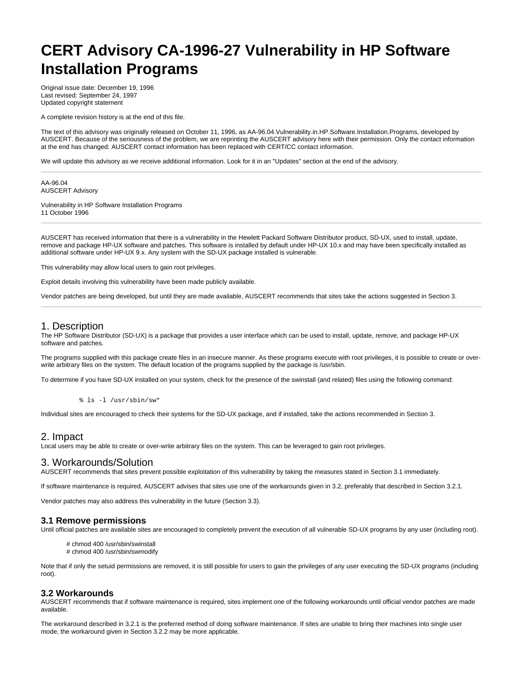# **CERT Advisory CA-1996-27 Vulnerability in HP Software Installation Programs**

Original issue date: December 19, 1996 Last revised: September 24, 1997 Updated copyright statement

A complete revision history is at the end of this file.

The text of this advisory was originally released on October 11, 1996, as AA-96.04.Vulnerability.in.HP.Software.Installation.Programs, developed by AUSCERT. Because of the seriousness of the problem, we are reprinting the AUSCERT advisory here with their permission. Only the contact information at the end has changed: AUSCERT contact information has been replaced with CERT/CC contact information.

We will update this advisory as we receive additional information. Look for it in an "Updates" section at the end of the advisory.

AA-96.04 AUSCERT Advisory

Vulnerability in HP Software Installation Programs 11 October 1996

AUSCERT has received information that there is a vulnerability in the Hewlett Packard Software Distributor product, SD-UX, used to install, update, remove and package HP-UX software and patches. This software is installed by default under HP-UX 10.x and may have been specifically installed as additional software under HP-UX 9.x. Any system with the SD-UX package installed is vulnerable.

This vulnerability may allow local users to gain root privileges.

Exploit details involving this vulnerability have been made publicly available.

Vendor patches are being developed, but until they are made available, AUSCERT recommends that sites take the actions suggested in Section 3.

#### 1. Description

The HP Software Distributor (SD-UX) is a package that provides a user interface which can be used to install, update, remove, and package HP-UX software and patches.

The programs supplied with this package create files in an insecure manner. As these programs execute with root privileges, it is possible to create or overwrite arbitrary files on the system. The default location of the programs supplied by the package is /usr/sbin.

To determine if you have SD-UX installed on your system, check for the presence of the swinstall (and related) files using the following command:

% ls -l /usr/sbin/sw\*

Individual sites are encouraged to check their systems for the SD-UX package, and if installed, take the actions recommended in Section 3.

# 2. Impact

Local users may be able to create or over-write arbitrary files on the system. This can be leveraged to gain root privileges.

# 3. Workarounds/Solution

AUSCERT recommends that sites prevent possible exploitation of this vulnerability by taking the measures stated in Section 3.1 immediately.

If software maintenance is required, AUSCERT advises that sites use one of the workarounds given in 3.2, preferably that described in Section 3.2.1.

Vendor patches may also address this vulnerability in the future (Section 3.3).

#### **3.1 Remove permissions**

Until official patches are available sites are encouraged to completely prevent the execution of all vulnerable SD-UX programs by any user (including root).

# chmod 400 /usr/sbin/swinstall # chmod 400 /usr/sbin/swmodify

Note that if only the setuid permissions are removed, it is still possible for users to gain the privileges of any user executing the SD-UX programs (including root).

#### **3.2 Workarounds**

AUSCERT recommends that if software maintenance is required, sites implement one of the following workarounds until official vendor patches are made available.

The workaround described in 3.2.1 is the preferred method of doing software maintenance. If sites are unable to bring their machines into single user mode, the workaround given in Section 3.2.2 may be more applicable.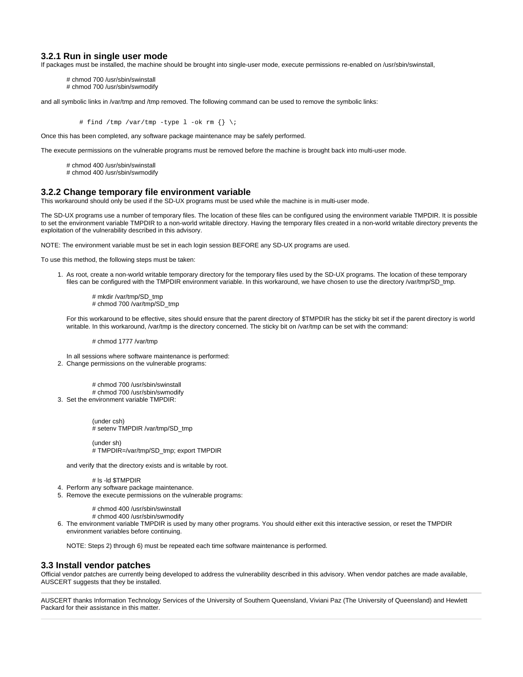#### **3.2.1 Run in single user mode**

If packages must be installed, the machine should be brought into single-user mode, execute permissions re-enabled on /usr/sbin/swinstall,

# chmod 700 /usr/sbin/swinstall # chmod 700 /usr/sbin/swmodify

and all symbolic links in /var/tmp and /tmp removed. The following command can be used to remove the symbolic links:

# find /tmp /var/tmp -type  $1$  -ok rm  $\{\} \setminus i$ 

Once this has been completed, any software package maintenance may be safely performed.

The execute permissions on the vulnerable programs must be removed before the machine is brought back into multi-user mode.

- # chmod 400 /usr/sbin/swinstall
- # chmod 400 /usr/sbin/swmodify

# **3.2.2 Change temporary file environment variable**

This workaround should only be used if the SD-UX programs must be used while the machine is in multi-user mode.

The SD-UX programs use a number of temporary files. The location of these files can be configured using the environment variable TMPDIR. It is possible to set the environment variable TMPDIR to a non-world writable directory. Having the temporary files created in a non-world writable directory prevents the exploitation of the vulnerability described in this advisory.

NOTE: The environment variable must be set in each login session BEFORE any SD-UX programs are used.

To use this method, the following steps must be taken:

1. As root, create a non-world writable temporary directory for the temporary files used by the SD-UX programs. The location of these temporary files can be configured with the TMPDIR environment variable. In this workaround, we have chosen to use the directory /var/tmp/SD\_tmp.

# mkdir /var/tmp/SD\_tmp # chmod 700 /var/tmp/SD\_tmp

For this workaround to be effective, sites should ensure that the parent directory of \$TMPDIR has the sticky bit set if the parent directory is world writable. In this workaround, /var/tmp is the directory concerned. The sticky bit on /var/tmp can be set with the command:

# chmod 1777 /var/tmp

2. Change permissions on the vulnerable programs: In all sessions where software maintenance is performed:

3. Set the environment variable TMPDIR: # chmod 700 /usr/sbin/swinstall # chmod 700 /usr/sbin/swmodify

> (under csh) # setenv TMPDIR /var/tmp/SD\_tmp

(under sh) # TMPDIR=/var/tmp/SD\_tmp; export TMPDIR

and verify that the directory exists and is writable by root.

# ls -ld \$TMPDIR

- 4. Perform any software package maintenance.
- 5. Remove the execute permissions on the vulnerable programs:
	- # chmod 400 /usr/sbin/swinstall
		- # chmod 400 /usr/sbin/swmodify
- 6. The environment variable TMPDIR is used by many other programs. You should either exit this interactive session, or reset the TMPDIR environment variables before continuing.

NOTE: Steps 2) through 6) must be repeated each time software maintenance is performed.

#### **3.3 Install vendor patches**

Official vendor patches are currently being developed to address the vulnerability described in this advisory. When vendor patches are made available, AUSCERT suggests that they be installed.

AUSCERT thanks Information Technology Services of the University of Southern Queensland, Viviani Paz (The University of Queensland) and Hewlett Packard for their assistance in this matter.